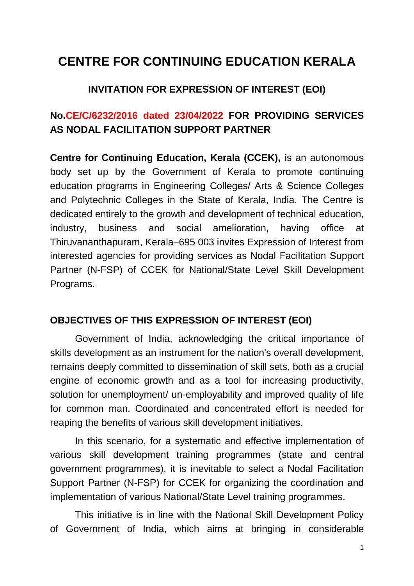# **CENTRE FOR CONTINUING EDUCATION KERALA**

## **INVITATION FOR EXPRESSION OF INTEREST (EOI)**

## **No.CE/C/6232/2016 dated 23/04/2022 FOR PROVIDING SERVICES AS NODAL FACILITATION SUPPORT PARTNER**

**Centre for Continuing Education, Kerala (CCEK),** is an autonomous body set up by the Government of Kerala to promote continuing education programs in Engineering Colleges/ Arts & Science Colleges and Polytechnic Colleges in the State of Kerala, India. The Centre is dedicated entirely to the growth and development of technical education, industry, business and social amelioration, having office at Thiruvananthapuram, Kerala–695 003 invites Expression of Interest from interested agencies for providing services as Nodal Facilitation Support Partner (N-FSP) of CCEK for National/State Level Skill Development Programs.

### **OBJECTIVES OF THIS EXPRESSION OF INTEREST (EOI)**

Government of India, acknowledging the critical importance of skills development as an instrument for the nation's overall development, remains deeply committed to dissemination of skill sets, both as a crucial engine of economic growth and as a tool for increasing productivity, solution for unemployment/ un-employability and improved quality of life for common man. Coordinated and concentrated effort is needed for reaping the benefits of various skill development initiatives.

In this scenario, for a systematic and effective implementation of various skill development training programmes (state and central government programmes), it is inevitable to select a Nodal Facilitation Support Partner (N-FSP) for CCEK for organizing the coordination and implementation of various National/State Level training programmes.

This initiative is in line with the National Skill Development Policy of Government of India, which aims at bringing in considerable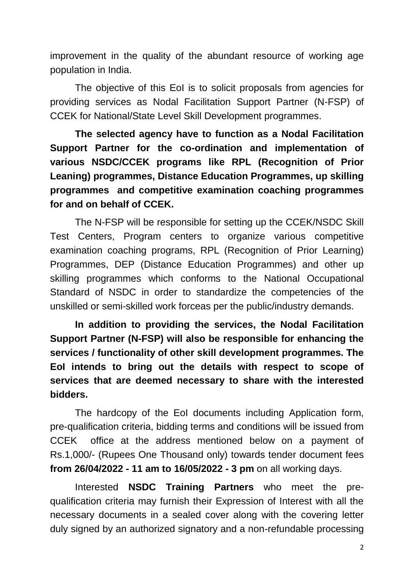improvement in the quality of the abundant resource of working age population in India.

The objective of this EoI is to solicit proposals from agencies for providing services as Nodal Facilitation Support Partner (N-FSP) of CCEK for National/State Level Skill Development programmes.

**The selected agency have to function as a Nodal Facilitation Support Partner for the co-ordination and implementation of various NSDC/CCEK programs like RPL (Recognition of Prior Leaning) programmes, Distance Education Programmes, up skilling programmes and competitive examination coaching programmes for and on behalf of CCEK.** 

The N-FSP will be responsible for setting up the CCEK/NSDC Skill Test Centers, Program centers to organize various competitive examination coaching programs, RPL (Recognition of Prior Learning) Programmes, DEP (Distance Education Programmes) and other up skilling programmes which conforms to the National Occupational Standard of NSDC in order to standardize the competencies of the unskilled or semi-skilled work forceas per the public/industry demands.

**In addition to providing the services, the Nodal Facilitation Support Partner (N-FSP) will also be responsible for enhancing the services / functionality of other skill development programmes. The EoI intends to bring out the details with respect to scope of services that are deemed necessary to share with the interested bidders.**

The hardcopy of the EoI documents including Application form, pre-qualification criteria, bidding terms and conditions will be issued from CCEK office at the address mentioned below on a payment of Rs.1,000/- (Rupees One Thousand only) towards tender document fees **from 26/04/2022 - 11 am to 16/05/2022 - 3 pm** on all working days.

Interested **NSDC Training Partners** who meet the prequalification criteria may furnish their Expression of Interest with all the necessary documents in a sealed cover along with the covering letter duly signed by an authorized signatory and a non-refundable processing